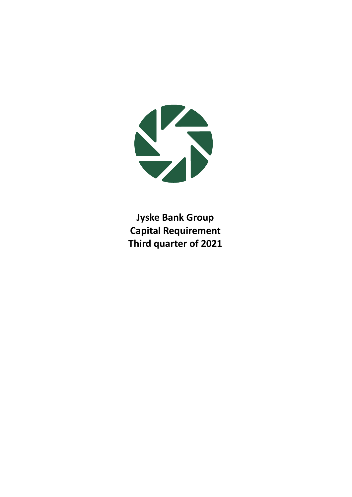

**Jyske Bank Group Capital Requirement Third quarter of 2021**